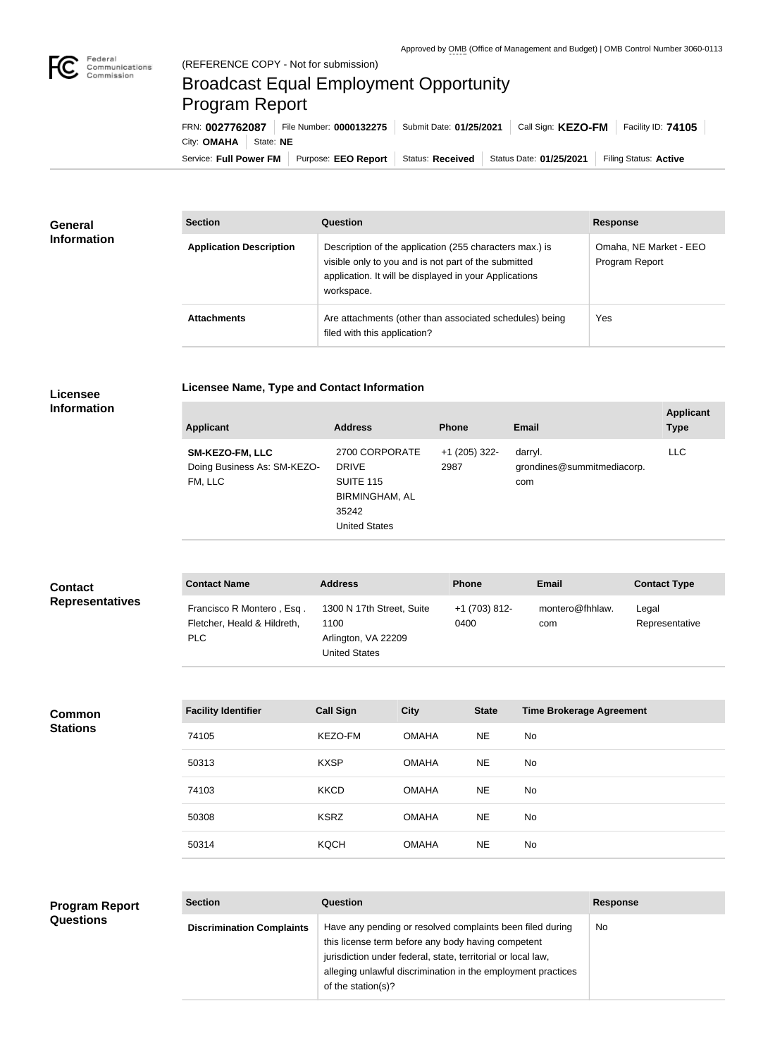## Broadcast Equal Employment Opportunity Program Report

**Licensee Name, Type and Contact Information**

Service: Full Power FM Purpose: EEO Report | Status: Received | Status Date: 01/25/2021 | Filing Status: Active City: **OMAHA** State: NE FRN: **0027762087** File Number: **0000132275** Submit Date: **01/25/2021** Call Sign: **KEZO-FM** Facility ID: **74105**

| <b>General</b><br><b>Information</b> | <b>Section</b>                 | Question                                                                                                                                                                                | <b>Response</b>                          |  |
|--------------------------------------|--------------------------------|-----------------------------------------------------------------------------------------------------------------------------------------------------------------------------------------|------------------------------------------|--|
|                                      | <b>Application Description</b> | Description of the application (255 characters max.) is<br>visible only to you and is not part of the submitted<br>application. It will be displayed in your Applications<br>workspace. | Omaha, NE Market - EEO<br>Program Report |  |
|                                      | <b>Attachments</b>             | Are attachments (other than associated schedules) being<br>filed with this application?                                                                                                 | Yes                                      |  |

## **Licensee Information**

| SM-KEZO-FM, LLC<br>Doing Business As: SM-KEZO-<br><b>DRIVE</b><br><b>SUITE 115</b><br>FM, LLC<br>35242 | 2700 CORPORATE<br><b>BIRMINGHAM, AL</b><br><b>United States</b> | $+1$ (205) 322-<br>2987 | darryl.<br>grondines@summitmediacorp.<br>com | LLC. |
|--------------------------------------------------------------------------------------------------------|-----------------------------------------------------------------|-------------------------|----------------------------------------------|------|

| <b>Contact</b><br><b>Representatives</b>  | <b>Contact Name</b>                                                    | <b>Address</b>                                                                   |              | Phone                 | <b>Email</b>                    | <b>Contact Type</b>     |
|-------------------------------------------|------------------------------------------------------------------------|----------------------------------------------------------------------------------|--------------|-----------------------|---------------------------------|-------------------------|
|                                           | Francisco R Montero, Esq.<br>Fletcher, Heald & Hildreth,<br><b>PLC</b> | 1300 N 17th Street, Suite<br>1100<br>Arlington, VA 22209<br><b>United States</b> |              | +1 (703) 812-<br>0400 | montero@fhhlaw.<br>com          | Legal<br>Representative |
|                                           |                                                                        |                                                                                  |              |                       |                                 |                         |
| <b>Common</b><br><b>Stations</b>          | <b>Facility Identifier</b>                                             | <b>Call Sign</b>                                                                 | <b>City</b>  | <b>State</b>          | <b>Time Brokerage Agreement</b> |                         |
|                                           | 74105                                                                  | KEZO-FM                                                                          | <b>OMAHA</b> | <b>NE</b>             | No                              |                         |
|                                           | 50313                                                                  | <b>KXSP</b>                                                                      | <b>OMAHA</b> | <b>NE</b>             | <b>No</b>                       |                         |
|                                           | 74103                                                                  | <b>KKCD</b>                                                                      | <b>OMAHA</b> | <b>NE</b>             | <b>No</b>                       |                         |
|                                           | 50308                                                                  | <b>KSRZ</b>                                                                      | <b>OMAHA</b> | <b>NE</b>             | No                              |                         |
|                                           | 50314                                                                  | <b>KQCH</b>                                                                      | <b>OMAHA</b> | <b>NE</b>             | No                              |                         |
|                                           |                                                                        |                                                                                  |              |                       |                                 |                         |
| <b>Program Report</b><br><b>Questions</b> | <b>Section</b>                                                         | Question                                                                         |              |                       |                                 | <b>Response</b>         |
|                                           | <b>Discrimination Complaints</b>                                       | Have any pending or resolved complaints been filed during                        |              |                       |                                 | No                      |

of the station(s)?

this license term before any body having competent jurisdiction under federal, state, territorial or local law,

alleging unlawful discrimination in the employment practices